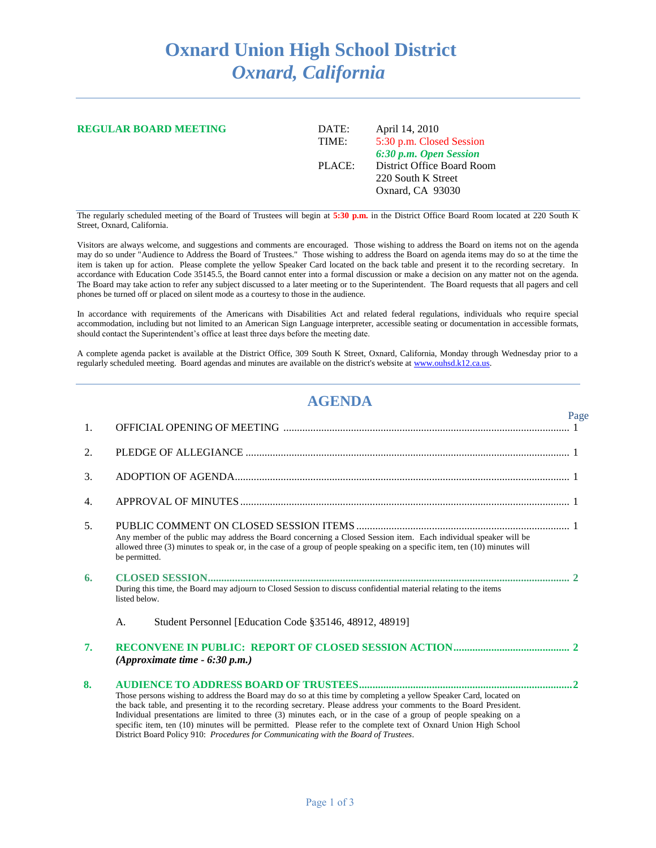## **Oxnard Union High School District** *Oxnard, California*

| <b>REGULAR BOARD MEETING</b> | DATE:<br>TIME: | April 14, 2010<br>5:30 p.m. Closed Session<br>6:30 p.m. Open Session |
|------------------------------|----------------|----------------------------------------------------------------------|
|                              | PLACE:         | District Office Board Room<br>220 South K Street<br>Oxnard, CA 93030 |

The regularly scheduled meeting of the Board of Trustees will begin at **5:30 p.m.** in the District Office Board Room located at 220 South K Street, Oxnard, California.

Visitors are always welcome, and suggestions and comments are encouraged. Those wishing to address the Board on items not on the agenda may do so under "Audience to Address the Board of Trustees." Those wishing to address the Board on agenda items may do so at the time the item is taken up for action. Please complete the yellow Speaker Card located on the back table and present it to the recording secretary. In accordance with Education Code 35145.5, the Board cannot enter into a formal discussion or make a decision on any matter not on the agenda. The Board may take action to refer any subject discussed to a later meeting or to the Superintendent. The Board requests that all pagers and cell phones be turned off or placed on silent mode as a courtesy to those in the audience.

In accordance with requirements of the Americans with Disabilities Act and related federal regulations, individuals who require special accommodation, including but not limited to an American Sign Language interpreter, accessible seating or documentation in accessible formats, should contact the Superintendent's office at least three days before the meeting date.

A complete agenda packet is available at the District Office, 309 South K Street, Oxnard, California, Monday through Wednesday prior to a regularly scheduled meeting. Board agendas and minutes are available on the district's website a[t www.ouhsd.k12.ca.us.](http://www.ouhsd.k12.ca.us/)

## **AGENDA**

|    |                                                                                                                                                                                                                                                                                                                                                                                                                                                                                                                                                                         | Page |
|----|-------------------------------------------------------------------------------------------------------------------------------------------------------------------------------------------------------------------------------------------------------------------------------------------------------------------------------------------------------------------------------------------------------------------------------------------------------------------------------------------------------------------------------------------------------------------------|------|
| 1. |                                                                                                                                                                                                                                                                                                                                                                                                                                                                                                                                                                         |      |
| 2. |                                                                                                                                                                                                                                                                                                                                                                                                                                                                                                                                                                         |      |
| 3. |                                                                                                                                                                                                                                                                                                                                                                                                                                                                                                                                                                         |      |
| 4. |                                                                                                                                                                                                                                                                                                                                                                                                                                                                                                                                                                         |      |
| 5. | Any member of the public may address the Board concerning a Closed Session item. Each individual speaker will be<br>allowed three (3) minutes to speak or, in the case of a group of people speaking on a specific item, ten (10) minutes will<br>be permitted.                                                                                                                                                                                                                                                                                                         |      |
| 6. | During this time, the Board may adjourn to Closed Session to discuss confidential material relating to the items<br>listed below.                                                                                                                                                                                                                                                                                                                                                                                                                                       |      |
|    | Student Personnel [Education Code §35146, 48912, 48919]<br>A.                                                                                                                                                                                                                                                                                                                                                                                                                                                                                                           |      |
| 7. | (Approximate time $-6:30$ p.m.)                                                                                                                                                                                                                                                                                                                                                                                                                                                                                                                                         |      |
| 8. | Those persons wishing to address the Board may do so at this time by completing a yellow Speaker Card, located on<br>the back table, and presenting it to the recording secretary. Please address your comments to the Board President.<br>Individual presentations are limited to three (3) minutes each, or in the case of a group of people speaking on a<br>specific item, ten (10) minutes will be permitted. Please refer to the complete text of Oxnard Union High School<br>District Board Policy 910: Procedures for Communicating with the Board of Trustees. |      |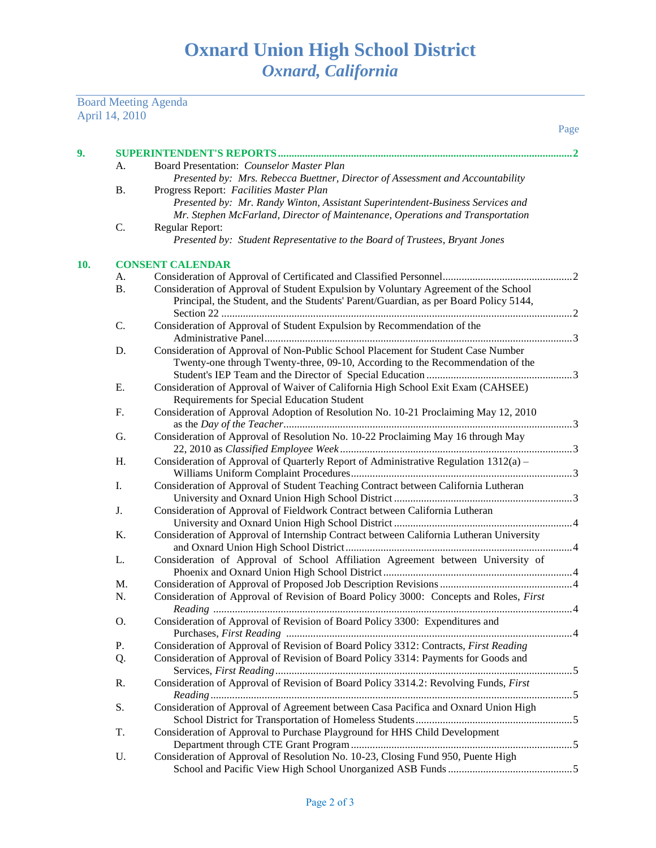Board Meeting Agenda

April 14, 2010 Page **9. SUPERINTENDENT'S REPORTS .............................................................................................................2** A. Board Presentation: *Counselor Master Plan Presented by: Mrs. Rebecca Buettner, Director of Assessment and Accountability* B. Progress Report: *Facilities Master Plan Presented by: Mr. Randy Winton, Assistant Superintendent-Business Services and Mr. Stephen McFarland, Director of Maintenance, Operations and Transportation* C. Regular Report: *Presented by: Student Representative to the Board of Trustees, Bryant Jones* **10. CONSENT CALENDAR** A. Consideration of Approval of Certificated and Classified Personnel................................................2 B. Consideration of Approval of Student Expulsion by Voluntary Agreement of the School Principal, the Student, and the Students' Parent/Guardian, as per Board Policy 5144, Section 22 ..................................................................................................................................2 C. Consideration of Approval of Student Expulsion by Recommendation of the Administrative Panel..................................................................................................................3 D. Consideration of Approval of Non-Public School Placement for Student Case Number Twenty-one through Twenty-three, 09-10, According to the Recommendation of the Student's IEP Team and the Director of Special Education ......................................................3 E. Consideration of Approval of Waiver of California High School Exit Exam (CAHSEE) Requirements for Special Education Student F. Consideration of Approval Adoption of Resolution No. 10-21 Proclaiming May 12, 2010 as the *Day of the Teacher*...........................................................................................................3 G. Consideration of Approval of Resolution No. 10-22 Proclaiming May 16 through May 22, 2010 as *Classified Employee Week* ......................................................................................3 H. Consideration of Approval of Quarterly Report of Administrative Regulation  $1312(a)$  – Williams Uniform Complaint Procedures..................................................................................3 I. Consideration of Approval of Student Teaching Contract between California Lutheran University and Oxnard Union High School District ..................................................................3 J. Consideration of Approval of Fieldwork Contract between California Lutheran University and Oxnard Union High School District ..................................................................4 K. Consideration of Approval of Internship Contract between California Lutheran University and Oxnard Union High School District....................................................................................4 L. Consideration of Approval of School Affiliation Agreement between University of Phoenix and Oxnard Union High School District......................................................................4 M. Consideration of Approval of Proposed Job Description Revisions.................................................4 N. Consideration of Approval of Revision of Board Policy 3000: Concepts and Roles, *First Reading* .....................................................................................................................................4 O. Consideration of Approval of Revision of Board Policy 3300: Expenditures and Purchases, *First Reading* ..........................................................................................................4 P. Consideration of Approval of Revision of Board Policy 3312: Contracts, *First Reading* Q. Consideration of Approval of Revision of Board Policy 3314: Payments for Goods and Services, *First Reading*..............................................................................................................5 R. Consideration of Approval of Revision of Board Policy 3314.2: Revolving Funds, *First Reading*......................................................................................................................................5 S. Consideration of Approval of Agreement between Casa Pacifica and Oxnard Union High School District for Transportation of Homeless Students..........................................................5 T. Consideration of Approval to Purchase Playground for HHS Child Development Department through CTE Grant Program..................................................................................5 U. Consideration of Approval of Resolution No. 10-23, Closing Fund 950, Puente High School and Pacific View High School Unorganized ASB Funds..............................................5